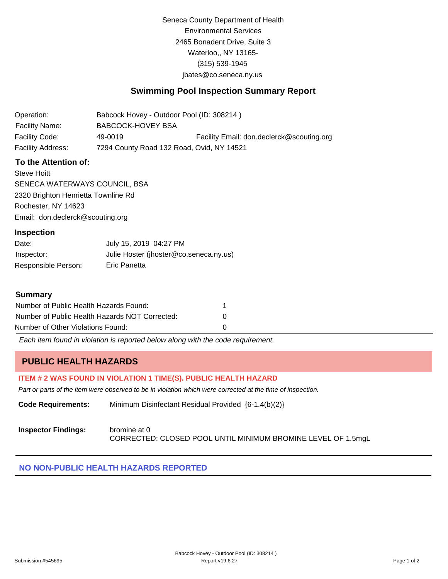Seneca County Department of Health Environmental Services 2465 Bonadent Drive, Suite 3 Waterloo,, NY 13165- (315) 539-1945 [jbates@co.seneca.ny.us](mailto:jbates@co.seneca.ny.us)

# **Swimming Pool Inspection Summary Report**

| Operation:            | Babcock Hovey - Outdoor Pool (ID: 308214) |                                           |
|-----------------------|-------------------------------------------|-------------------------------------------|
| <b>Facility Name:</b> | BABCOCK-HOVEY BSA                         |                                           |
| Facility Code:        | 49-0019                                   | Facility Email: don.declerck@scouting.org |
| Facility Address:     | 7294 County Road 132 Road, Ovid, NY 14521 |                                           |

## **To the Attention of:**

Steve Hoitt SENECA WATERWAYS COUNCIL, BSA 2320 Brighton Henrietta Townline Rd Rochester, NY 14623 [Email: don.declerck@scouting.org](mailto:don.declerck@scouting.org)

#### **Inspection**

| Date:               | July 15, 2019 04:27 PM                 |
|---------------------|----------------------------------------|
| Inspector:          | Julie Hoster (jhoster@co.seneca.ny.us) |
| Responsible Person: | Eric Panetta                           |

#### **Summary**

| Number of Public Health Hazards Found:         |              |
|------------------------------------------------|--------------|
| Number of Public Health Hazards NOT Corrected: | $\mathbf{0}$ |
| Number of Other Violations Found:              |              |

*Each item found in violation is reported below along with the code requirement.*

# **PUBLIC HEALTH HAZARDS**

### **ITEM # 2 WAS FOUND IN VIOLATION 1 TIME(S). PUBLIC HEALTH HAZARD**

*Part or parts of the item were observed to be in violation which were corrected at the time of inspection.*

**Code Requirements:** Minimum Disinfectant Residual Provided {6-1.4(b)(2)}

### **Inspector Findings:** bromine at 0 CORRECTED: CLOSED POOL UNTIL MINIMUM BROMINE LEVEL OF 1.5mgL

### **NO NON-PUBLIC HEALTH HAZARDS REPORTED**